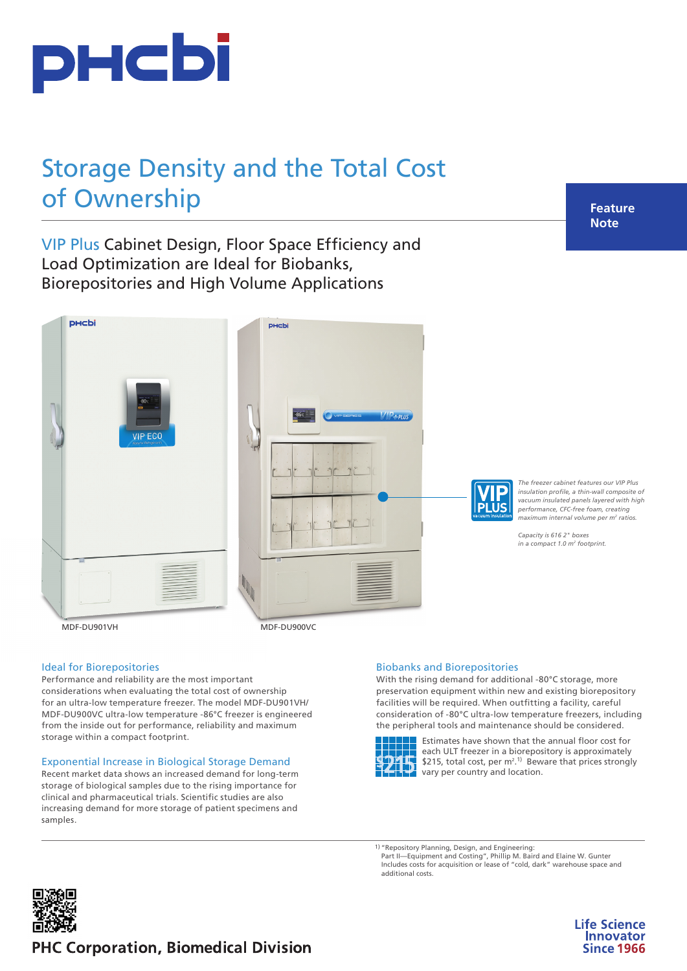

# Storage Density and the Total Cost of Ownership

**Feature Note**

VIP Plus Cabinet Design, Floor Space Efficiency and Load Optimization are Ideal for Biobanks, Biorepositories and High Volume Applications



# Ideal for Biorepositories

Performance and reliability are the most important considerations when evaluating the total cost of ownership for an ultra-low temperature freezer. The model MDF-DU901VH/ MDF-DU900VC ultra-low temperature -86°C freezer is engineered from the inside out for performance, reliability and maximum storage within a compact footprint.

#### Exponential Increase in Biological Storage Demand

Recent market data shows an increased demand for long-term storage of biological samples due to the rising importance for clinical and pharmaceutical trials. Scientific studies are also increasing demand for more storage of patient specimens and samples.

#### Biobanks and Biorepositories

With the rising demand for additional -80°C storage, more preservation equipment within new and existing biorepository facilities will be required. When outfitting a facility, careful consideration of -80°C ultra-low temperature freezers, including the peripheral tools and maintenance should be considered.



Estimates have shown that the annual floor cost for each ULT freezer in a biorepository is approximately \$215, total cost, per  $m^2$ .<sup>1)</sup> Beware that prices strongly vary per country and location.

1) "Repository Planning, Design, and Engineering: Part II—Equipment and Costing", Phillip M. Baird and Elaine W. Gunter Includes costs for acquisition or lease of "cold, dark" warehouse space and additional costs.



**Life Science Innovator Since 1966** 

# **PHC Corporation, Biomedical Division**